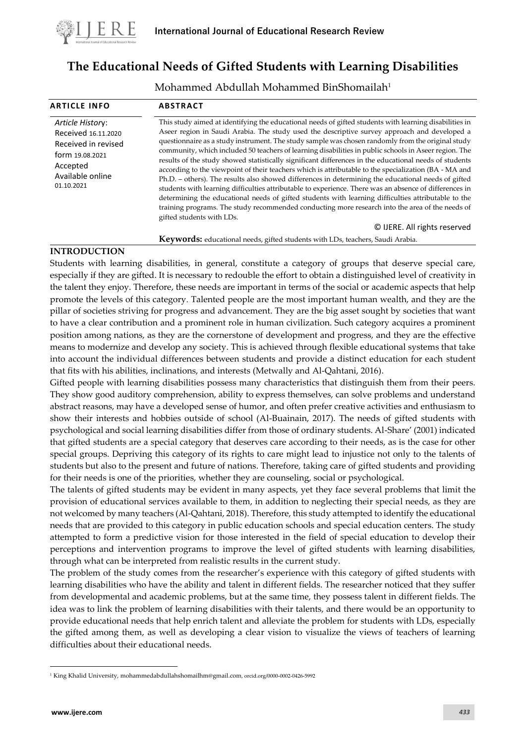

# **The Educational Needs of Gifted Students with Learning Disabilities**

Mohammed Abdullah Mohammed BinShomailah<sup>1</sup>

| <b>ARTICLE INFO</b>                                                                                                             | <b>ABSTRACT</b>                                                                                                                                                                                                                                                                                                                                                                                                                                                                                                                                                                                                                                                                                                                                                                                                                                                                                                                                                                                                                                                                                                                 |
|---------------------------------------------------------------------------------------------------------------------------------|---------------------------------------------------------------------------------------------------------------------------------------------------------------------------------------------------------------------------------------------------------------------------------------------------------------------------------------------------------------------------------------------------------------------------------------------------------------------------------------------------------------------------------------------------------------------------------------------------------------------------------------------------------------------------------------------------------------------------------------------------------------------------------------------------------------------------------------------------------------------------------------------------------------------------------------------------------------------------------------------------------------------------------------------------------------------------------------------------------------------------------|
| Article History:<br>Received 16.11.2020<br>Received in revised<br>form 19.08.2021<br>Accepted<br>Available online<br>01.10.2021 | This study aimed at identifying the educational needs of gifted students with learning disabilities in<br>Aseer region in Saudi Arabia. The study used the descriptive survey approach and developed a<br>questionnaire as a study instrument. The study sample was chosen randomly from the original study<br>community, which included 50 teachers of learning disabilities in public schools in Aseer region. The<br>results of the study showed statistically significant differences in the educational needs of students<br>according to the viewpoint of their teachers which is attributable to the specialization (BA - MA and<br>Ph.D. - others). The results also showed differences in determining the educational needs of gifted<br>students with learning difficulties attributable to experience. There was an absence of differences in<br>determining the educational needs of gifted students with learning difficulties attributable to the<br>training programs. The study recommended conducting more research into the area of the needs of<br>gifted students with LDs.<br>© IJERE. All rights reserved |

**Keywords:** educational needs, gifted students with LDs, teachers, Saudi Arabia.

## **INTRODUCTION**

Students with learning disabilities, in general, constitute a category of groups that deserve special care, especially if they are gifted. It is necessary to redouble the effort to obtain a distinguished level of creativity in the talent they enjoy. Therefore, these needs are important in terms of the social or academic aspects that help promote the levels of this category. Talented people are the most important human wealth, and they are the pillar of societies striving for progress and advancement. They are the big asset sought by societies that want to have a clear contribution and a prominent role in human civilization. Such category acquires a prominent position among nations, as they are the cornerstone of development and progress, and they are the effective means to modernize and develop any society. This is achieved through flexible educational systems that take into account the individual differences between students and provide a distinct education for each student that fits with his abilities, inclinations, and interests (Metwally and Al-Qahtani, 2016).

Gifted people with learning disabilities possess many characteristics that distinguish them from their peers. They show good auditory comprehension, ability to express themselves, can solve problems and understand abstract reasons, may have a developed sense of humor, and often prefer creative activities and enthusiasm to show their interests and hobbies outside of school (Al-Buainain, 2017). The needs of gifted students with psychological and social learning disabilities differ from those of ordinary students. Al-Share' (2001) indicated that gifted students are a special category that deserves care according to their needs, as is the case for other special groups. Depriving this category of its rights to care might lead to injustice not only to the talents of students but also to the present and future of nations. Therefore, taking care of gifted students and providing for their needs is one of the priorities, whether they are counseling, social or psychological.

The talents of gifted students may be evident in many aspects, yet they face several problems that limit the provision of educational services available to them, in addition to neglecting their special needs, as they are not welcomed by many teachers (Al-Qahtani, 2018). Therefore, this study attempted to identify the educational needs that are provided to this category in public education schools and special education centers. The study attempted to form a predictive vision for those interested in the field of special education to develop their perceptions and intervention programs to improve the level of gifted students with learning disabilities, through what can be interpreted from realistic results in the current study.

The problem of the study comes from the researcher's experience with this category of gifted students with learning disabilities who have the ability and talent in different fields. The researcher noticed that they suffer from developmental and academic problems, but at the same time, they possess talent in different fields. The idea was to link the problem of learning disabilities with their talents, and there would be an opportunity to provide educational needs that help enrich talent and alleviate the problem for students with LDs, especially the gifted among them, as well as developing a clear vision to visualize the views of teachers of learning difficulties about their educational needs.

<sup>1</sup> King Khalid University[, mohammedabdullahshomailhm@gmail.com](mailto:mohammedabdullahshomailhm@gmail.co), orcid.org/0000-0002-0426-5992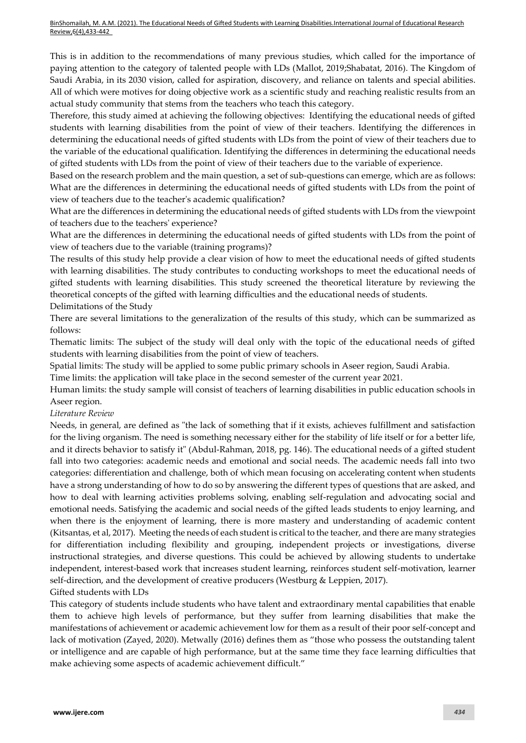BinShomailah, M. A.M. (2021). The Educational Needs of Gifted Students with Learning Disabilities.International Journal of Educational Research Review,6(4),433-442

This is in addition to the recommendations of many previous studies, which called for the importance of paying attention to the category of talented people with LDs (Mallot, 2019;Shabatat, 2016). The Kingdom of Saudi Arabia, in its 2030 vision, called for aspiration, discovery, and reliance on talents and special abilities. All of which were motives for doing objective work as a scientific study and reaching realistic results from an actual study community that stems from the teachers who teach this category.

Therefore, this study aimed at achieving the following objectives: Identifying the educational needs of gifted students with learning disabilities from the point of view of their teachers. Identifying the differences in determining the educational needs of gifted students with LDs from the point of view of their teachers due to the variable of the educational qualification. Identifying the differences in determining the educational needs of gifted students with LDs from the point of view of their teachers due to the variable of experience.

Based on the research problem and the main question, a set of sub-questions can emerge, which are as follows: What are the differences in determining the educational needs of gifted students with LDs from the point of view of teachers due to the teacher's academic qualification?

What are the differences in determining the educational needs of gifted students with LDs from the viewpoint of teachers due to the teachers' experience?

What are the differences in determining the educational needs of gifted students with LDs from the point of view of teachers due to the variable (training programs)?

The results of this study help provide a clear vision of how to meet the educational needs of gifted students with learning disabilities. The study contributes to conducting workshops to meet the educational needs of gifted students with learning disabilities. This study screened the theoretical literature by reviewing the theoretical concepts of the gifted with learning difficulties and the educational needs of students. Delimitations of the Study

There are several limitations to the generalization of the results of this study, which can be summarized as follows:

Thematic limits: The subject of the study will deal only with the topic of the educational needs of gifted students with learning disabilities from the point of view of teachers.

Spatial limits: The study will be applied to some public primary schools in Aseer region, Saudi Arabia.

Time limits: the application will take place in the second semester of the current year 2021.

Human limits: the study sample will consist of teachers of learning disabilities in public education schools in Aseer region.

*Literature Review*

Needs, in general, are defined as "the lack of something that if it exists, achieves fulfillment and satisfaction for the living organism. The need is something necessary either for the stability of life itself or for a better life, and it directs behavior to satisfy it" (Abdul-Rahman, 2018, pg. 146). The educational needs of a gifted student fall into two categories: academic needs and emotional and social needs. The academic needs fall into two categories: differentiation and challenge, both of which mean focusing on accelerating content when students have a strong understanding of how to do so by answering the different types of questions that are asked, and how to deal with learning activities problems solving, enabling self-regulation and advocating social and emotional needs. Satisfying the academic and social needs of the gifted leads students to enjoy learning, and when there is the enjoyment of learning, there is more mastery and understanding of academic content (Kitsantas, et al, 2017). Meeting the needs of each student is critical to the teacher, and there are many strategies for differentiation including flexibility and grouping, independent projects or investigations, diverse instructional strategies, and diverse questions. This could be achieved by allowing students to undertake independent, interest-based work that increases student learning, reinforces student self-motivation, learner self-direction, and the development of creative producers (Westburg & Leppien, 2017).

Gifted students with LDs

This category of students include students who have talent and extraordinary mental capabilities that enable them to achieve high levels of performance, but they suffer from learning disabilities that make the manifestations of achievement or academic achievement low for them as a result of their poor self-concept and lack of motivation (Zayed, 2020). Metwally (2016) defines them as "those who possess the outstanding talent or intelligence and are capable of high performance, but at the same time they face learning difficulties that make achieving some aspects of academic achievement difficult."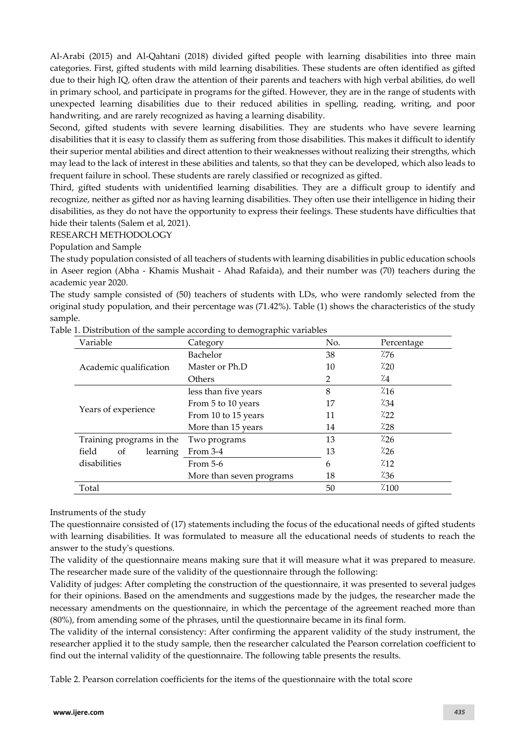Al-Arabi (2015) and Al-Qahtani (2018) divided gifted people with learning disabilities into three main categories. First, gifted students with mild learning disabilities. These students are often identified as gifted due to their high IQ, often draw the attention of their parents and teachers with high verbal abilities, do well in primary school, and participate in programs for the gifted. However, they are in the range of students with unexpected learning disabilities due to their reduced abilities in spelling, reading, writing, and poor handwriting, and are rarely recognized as having a learning disability.

Second, gifted students with severe learning disabilities. They are students who have severe learning disabilities that it is easy to classify them as suffering from those disabilities. This makes it difficult to identify their superior mental abilities and direct attention to their weaknesses without realizing their strengths, which may lead to the lack of interest in these abilities and talents, so that they can be developed, which also leads to frequent failure in school. These students are rarely classified or recognized as gifted.

Third, gifted students with unidentified learning disabilities. They are a difficult group to identify and recognize, neither as gifted nor as having learning disabilities. They often use their intelligence in hiding their disabilities, as they do not have the opportunity to express their feelings. These students have difficulties that hide their talents (Salem et al, 2021).

#### RESEARCH METHODOLOGY

Population and Sample

The study population consisted of all teachers of students with learning disabilities in public education schools in Aseer region (Abha - Khamis Mushait - Ahad Rafaida), and their number was (70) teachers during the academic year 2020.

The study sample consisted of (50) teachers of students with LDs, who were randomly selected from the original study population, and their percentage was (71.42%). Table (1) shows the characteristics of the study sample.

| Variable                 | $\sigma$<br>. O. . L<br>Category | No.<br>Percentage |       |  |  |  |
|--------------------------|----------------------------------|-------------------|-------|--|--|--|
|                          | Bachelor                         | 38                | 7/76  |  |  |  |
| Academic qualification   | Master or Ph.D                   | 10                | 7.20  |  |  |  |
|                          | Others                           | 2                 | 7.4   |  |  |  |
|                          | less than five years             | 8                 | 7.16  |  |  |  |
|                          | From 5 to 10 years               | 17                | 7.34  |  |  |  |
| Years of experience      | From 10 to 15 years              | 11                | 7.22  |  |  |  |
|                          | More than 15 years               | 14                | 7.28  |  |  |  |
| Training programs in the | Two programs                     | 13                | 7.26  |  |  |  |
| field<br>οf<br>learning  | From 3-4                         | 13                | 7.26  |  |  |  |
| disabilities             | From $5-6$                       | 6                 | 7.12  |  |  |  |
|                          | More than seven programs         | 18                | 7.36  |  |  |  |
| Total                    |                                  | 50                | 7.100 |  |  |  |

| Table 1. Distribution of the sample according to demographic variables |  |  |
|------------------------------------------------------------------------|--|--|
|                                                                        |  |  |
|                                                                        |  |  |

## Instruments of the study

The questionnaire consisted of (17) statements including the focus of the educational needs of gifted students with learning disabilities. It was formulated to measure all the educational needs of students to reach the answer to the study's questions.

The validity of the questionnaire means making sure that it will measure what it was prepared to measure. The researcher made sure of the validity of the questionnaire through the following:

Validity of judges: After completing the construction of the questionnaire, it was presented to several judges for their opinions. Based on the amendments and suggestions made by the judges, the researcher made the necessary amendments on the questionnaire, in which the percentage of the agreement reached more than (80%), from amending some of the phrases, until the questionnaire became in its final form.

The validity of the internal consistency: After confirming the apparent validity of the study instrument, the researcher applied it to the study sample, then the researcher calculated the Pearson correlation coefficient to find out the internal validity of the questionnaire. The following table presents the results.

Table 2. Pearson correlation coefficients for the items of the questionnaire with the total score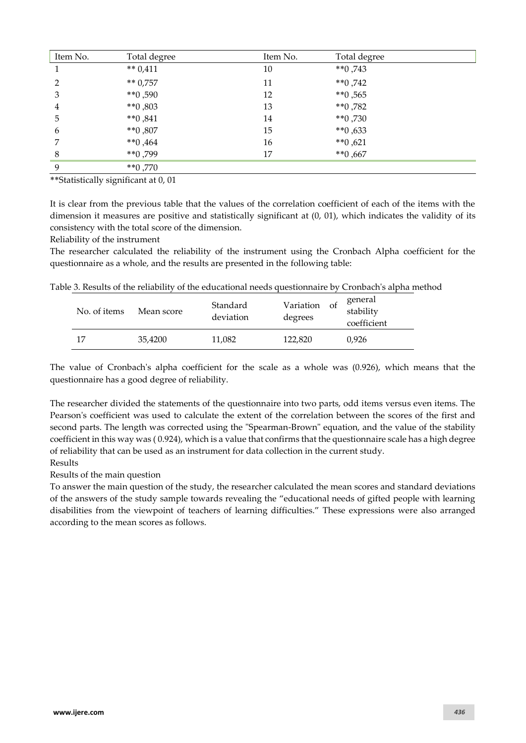| Item No. | Total degree  | Item No. | Total degree  |
|----------|---------------|----------|---------------|
|          | ** $0,411$    | 10       | $**0,743$     |
| 2        | $** 0,757$    | 11       | $**0,742$     |
| 3        | $**0,590$     | 12       | $**0,565$     |
| 4        | $*$ $*$ 0,803 | 13       | $**0,782$     |
| 5        | $*$ $*0,841$  | 14       | $**0,730$     |
| 6        | $**0,807$     | 15       | $**0,633$     |
|          | $**0,464$     | 16       | $*$ $*$ 0,621 |
| 8        | $**0,799$     | 17       | $**0,667$     |
| 9        | $**0,770$     |          |               |

\*\*Statistically significant at 0, 01

It is clear from the previous table that the values of the correlation coefficient of each of the items with the dimension it measures are positive and statistically significant at (0, 01), which indicates the validity of its consistency with the total score of the dimension.

Reliability of the instrument

The researcher calculated the reliability of the instrument using the Cronbach Alpha coefficient for the questionnaire as a whole, and the results are presented in the following table:

| Table 3. Results of the reliability of the educational needs questionnaire by Cronbach's alpha method |  |  |
|-------------------------------------------------------------------------------------------------------|--|--|
|                                                                                                       |  |  |

| No. of items | Mean score | Standard<br>deviation | Variation<br>- of<br>degrees | general<br>stability<br>coefficient |
|--------------|------------|-----------------------|------------------------------|-------------------------------------|
| 17           | 35,4200    | 11,082                | 122,820                      | 0.926                               |

The value of Cronbach's alpha coefficient for the scale as a whole was (0.926), which means that the questionnaire has a good degree of reliability.

The researcher divided the statements of the questionnaire into two parts, odd items versus even items. The Pearson's coefficient was used to calculate the extent of the correlation between the scores of the first and second parts. The length was corrected using the "Spearman-Brown" equation, and the value of the stability coefficient in this way was ( 0.924), which is a value that confirms that the questionnaire scale has a high degree of reliability that can be used as an instrument for data collection in the current study. Results

Results of the main question

To answer the main question of the study, the researcher calculated the mean scores and standard deviations of the answers of the study sample towards revealing the "educational needs of gifted people with learning disabilities from the viewpoint of teachers of learning difficulties." These expressions were also arranged according to the mean scores as follows.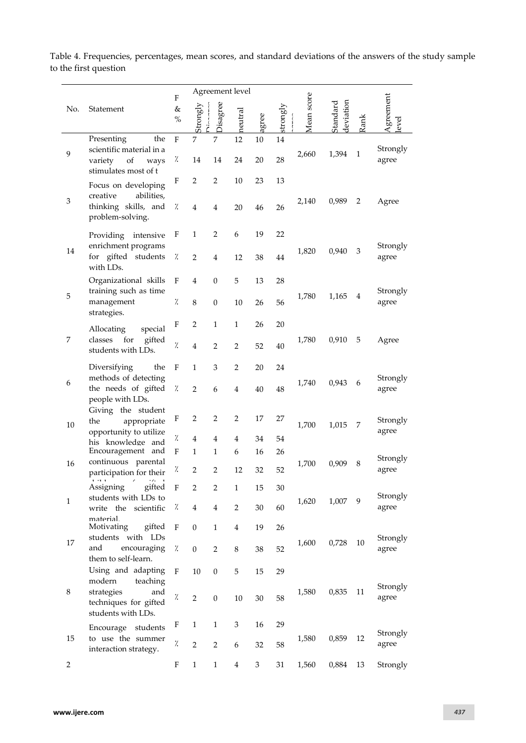|                |                                                                                                         | F                    |                | Agreement level  |                |        |          |            |                       |              |                   |
|----------------|---------------------------------------------------------------------------------------------------------|----------------------|----------------|------------------|----------------|--------|----------|------------|-----------------------|--------------|-------------------|
| No.            | Statement                                                                                               | &<br>$\%$            | Strongly       | Disagree         | neutral        | gree   | strongly | Mean score | deviation<br>Standard | Rank         | Agreement<br>evel |
|                | Presenting<br>the                                                                                       | F                    | 7              | 7                | 12             | 10     | 14       |            |                       |              |                   |
| 9              | scientific material in a<br>of<br>variety<br>ways<br>stimulates most of t                               | γ.                   | 14             | 14               | 24             | 20     | 28       | 2,660      | 1,394                 | $\mathbf{1}$ | Strongly<br>agree |
|                | Focus on developing                                                                                     | F                    | $\overline{2}$ | $\overline{2}$   | 10             | 23     | 13       |            |                       |              |                   |
| 3              | creative<br>abilities,<br>thinking skills, and<br>problem-solving.                                      | %                    | 4              | $\overline{4}$   | 20             | 46     | 26       | 2,140      | 0,989                 | 2            | Agree             |
|                | Providing intensive                                                                                     | F                    | 1              | $\overline{2}$   | 6              | 19     | 22       |            |                       |              |                   |
| 14             | enrichment programs<br>for gifted students<br>with LDs.                                                 | $\frac{1}{2}$        | $\overline{2}$ | 4                | 12             | 38     | 44       | 1,820      | 0,940                 | 3            | Strongly<br>agree |
|                | Organizational skills                                                                                   | F                    | 4              | $\mathbf{0}$     | 5              | 13     | 28       |            |                       |              |                   |
| 5              | training such as time<br>management<br>strategies.                                                      | $\frac{1}{2}$        | 8              | $\boldsymbol{0}$ | 10             | 26     | 56       | 1,780      | 1,165                 | 4            | Strongly<br>agree |
|                | special<br>Allocating                                                                                   | F                    | 2              | $\mathbf{1}$     | 1              | 26     | 20       |            |                       |              |                   |
| 7              | gifted<br>classes<br>for<br>students with LDs.                                                          | $\frac{1}{2}$        | 4              | $\overline{2}$   | $\overline{2}$ | 52     | 40       | 1,780      | 0,910                 | 5            | Agree             |
|                | Diversifying<br>the                                                                                     | $\mathbf F$          | $\mathbf{1}$   | 3                | 2              | 20     | 24       |            |                       |              |                   |
| 6              | methods of detecting<br>the needs of gifted<br>people with LDs.                                         | %                    | $\overline{2}$ | 6                | 4              | 40     | 48       | 1,740      | 0,943                 | 6            | Strongly<br>agree |
| 10             | Giving the student<br>the<br>appropriate<br>opportunity to utilize                                      | F                    | 2              | $\overline{2}$   | 2              | 17     | 27       | 1,700      | 1,015                 | 7            | Strongly<br>agree |
|                | his knowledge and                                                                                       | %                    | 4              | 4                | 4              | 34     | 54       |            |                       |              |                   |
|                | Encouragement and                                                                                       | F                    | 1              | $\mathbf{1}$     | 6              | 16     | 26       |            |                       |              | Strongly          |
| 16             | continuous parental<br>participation for their                                                          | Ϊ.                   | $\overline{2}$ | $\overline{2}$   | 12             | 32     | 52       | 1,700      | 0,909                 | 8            | agree             |
| $\mathbf{1}$   | .<br>$\sigma$<br>$\sim$ 100 $\sim$ 100 $\sim$ 100 $\sim$<br>gifted<br>Assigning<br>students with LDs to | $\mathbf F$          | $\overline{2}$ | $\overline{2}$   | 1              | 15     | 30       | 1,620      | 1,007                 | 9            | Strongly          |
|                | write the scientific                                                                                    | Z.                   | 4              | $\overline{4}$   | 2              | 30     | 60       |            |                       |              | agree             |
|                | material<br>Motivating<br>gifted                                                                        | F                    | $\mathbf{0}$   | $\mathbf{1}$     | $\overline{4}$ | 19     | 26       |            |                       |              |                   |
| 17             | students with LDs<br>and<br>encouraging<br>them to self-learn.                                          | %                    | 0              | $\overline{2}$   | 8              | 38     | 52       | 1,600      | 0,728                 | 10           | Strongly<br>agree |
|                | Using and adapting                                                                                      | F                    | 10             | $\boldsymbol{0}$ | 5              | 15     | 29       |            |                       |              |                   |
| 8              | modern<br>teaching<br>strategies<br>and<br>techniques for gifted<br>students with LDs.                  | $\dot{\vphantom{1}}$ | $\overline{2}$ | $\boldsymbol{0}$ | $10\,$         | $30\,$ | 58       | 1,580      | 0,835                 | 11           | Strongly<br>agree |
|                | Encourage students                                                                                      | F                    | 1              | $\mathbf{1}$     | 3              | 16     | 29       |            |                       |              | Strongly          |
| 15             | to use the summer<br>interaction strategy.                                                              | %                    | $\overline{2}$ | $\overline{2}$   | 6              | 32     | 58       | 1,580      | 0,859                 | 12           | agree             |
| $\overline{2}$ |                                                                                                         | F                    | $\mathbf{1}$   | $\mathbf{1}$     | $\overline{4}$ | 3      | 31       | 1,560      | 0,884                 | 13           | Strongly          |

Table 4. Frequencies, percentages, mean scores, and standard deviations of the answers of the study sample to the first question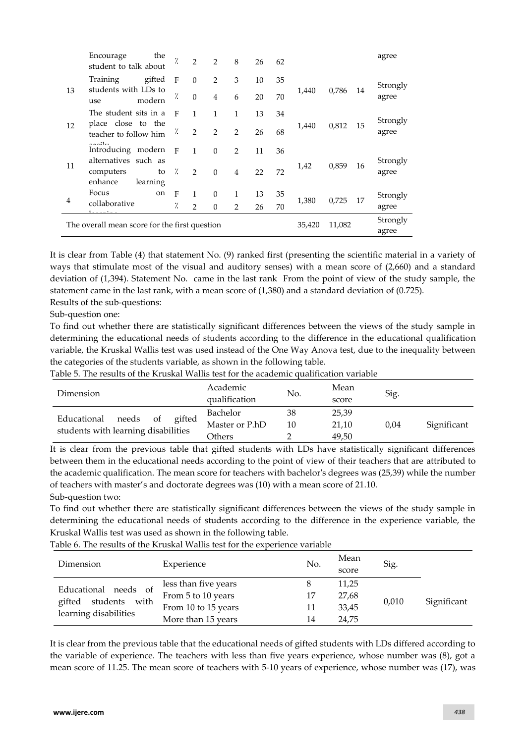|                                               | Encourage<br>student to talk about                                                                     | the            | $\frac{1}{2}$ | 2             | $\mathcal{P}$  | 8              | 26 | 62    |        |        |    | agree             |
|-----------------------------------------------|--------------------------------------------------------------------------------------------------------|----------------|---------------|---------------|----------------|----------------|----|-------|--------|--------|----|-------------------|
|                                               | Training                                                                                               | gifted         | $\mathbf{F}$  | $\Omega$      | $\overline{2}$ | 3              | 10 | 35    |        |        |    | Strongly          |
| 13                                            | students with LDs to<br>use                                                                            | modern         | γ.            | $\Omega$      | $\overline{4}$ | 6              | 20 | 70    | 1,440  | 0,786  | 14 | agree             |
|                                               | The student sits in a                                                                                  |                | $\mathbf{F}$  | 1             | 1              | 1              | 13 | 34    |        |        |    | Strongly          |
| 12                                            | place close to the<br>teacher to follow him                                                            |                | Ϊ.            | 2             | 2              | 2              | 26 | 68    | 1,440  | 0,812  | 15 | agree             |
|                                               | $\mathcal{L} = \mathcal{L}^{\frac{1}{2}} \mathbf{1}_{\mathcal{L} = \mathcal{L}}$<br>Introducing modern |                | $\mathbf{F}$  | $\mathbf{1}$  | $\Omega$       | $\mathcal{P}$  | 11 | 36    |        |        |    |                   |
| 11                                            | alternatives such as<br>computers<br>enhance                                                           | to<br>learning | $\gamma$      | $\mathcal{P}$ | $\Omega$       | $\overline{4}$ | 22 | 72    | 1,42   | 0,859  | 16 | Strongly<br>agree |
|                                               | Focus                                                                                                  | on             | F             | $\mathbf{1}$  | $\Omega$       | 1              | 13 | 35    |        |        | 17 | Strongly          |
| 4                                             | collaborative                                                                                          |                | $\frac{1}{2}$ | $\mathcal{P}$ | $\Omega$       | $\mathcal{P}$  | 26 | 70    | 1,380  | 0,725  |    | agree             |
|                                               |                                                                                                        |                |               |               |                |                |    |       | 35,420 | 11,082 |    | Strongly          |
| The overall mean score for the first question |                                                                                                        |                |               |               |                |                |    | agree |        |        |    |                   |

It is clear from Table (4) that statement No. (9) ranked first (presenting the scientific material in a variety of ways that stimulate most of the visual and auditory senses) with a mean score of (2,660) and a standard deviation of (1,394). Statement No. came in the last rank From the point of view of the study sample, the statement came in the last rank, with a mean score of (1,380) and a standard deviation of (0.725). Results of the sub-questions:

Sub-question one:

To find out whether there are statistically significant differences between the views of the study sample in determining the educational needs of students according to the difference in the educational qualification variable, the Kruskal Wallis test was used instead of the One Way Anova test, due to the inequality between the categories of the students variable, as shown in the following table.

Table 5. The results of the Kruskal Wallis test for the academic qualification variable

| Dimension                              | Academic<br>qualification | No. | Mean<br>score | Sig. |             |
|----------------------------------------|---------------------------|-----|---------------|------|-------------|
|                                        | Bachelor                  | 38  | 25,39         |      |             |
| gifted<br>needs<br>Educational<br>- of | Master or P.hD            | 10  | 21,10         | 0,04 | Significant |
| students with learning disabilities    | Others                    |     | 49,50         |      |             |

It is clear from the previous table that gifted students with LDs have statistically significant differences between them in the educational needs according to the point of view of their teachers that are attributed to the academic qualification. The mean score for teachers with bachelor's degrees was (25,39) while the number of teachers with master's and doctorate degrees was (10) with a mean score of 21.10.

Sub-question two:

To find out whether there are statistically significant differences between the views of the study sample in determining the educational needs of students according to the difference in the experience variable, the Kruskal Wallis test was used as shown in the following table.

| Dimension                                                                   | Experience           | No. | Mean<br>score | Sig.  |             |
|-----------------------------------------------------------------------------|----------------------|-----|---------------|-------|-------------|
| Educational needs of<br>students<br>gifted<br>with<br>learning disabilities | less than five years |     | 11,25         |       |             |
|                                                                             | From 5 to 10 years   | 17  | 27,68         |       | Significant |
|                                                                             | From 10 to 15 years  | 11  | 33,45         | 0,010 |             |
|                                                                             | More than 15 years   | 14  | 24,75         |       |             |

Table 6. The results of the Kruskal Wallis test for the experience variable

It is clear from the previous table that the educational needs of gifted students with LDs differed according to the variable of experience. The teachers with less than five years experience, whose number was (8), got a mean score of 11.25. The mean score of teachers with 5-10 years of experience, whose number was (17), was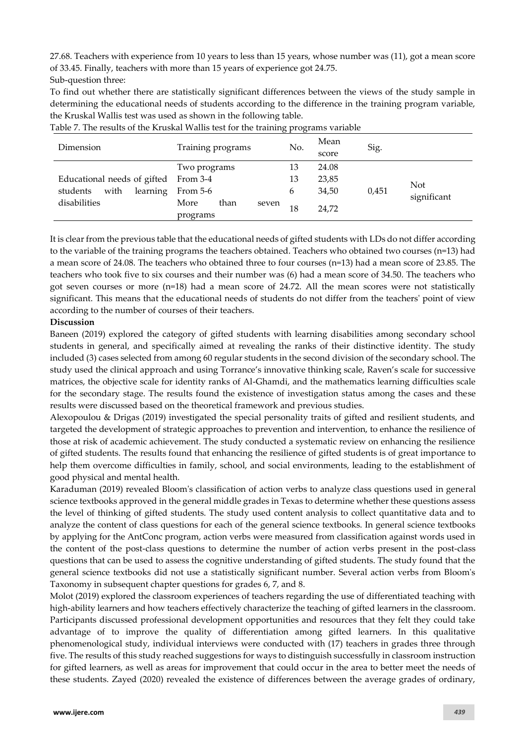27.68. Teachers with experience from 10 years to less than 15 years, whose number was (11), got a mean score of 33.45. Finally, teachers with more than 15 years of experience got 24.75. Sub-question three:

To find out whether there are statistically significant differences between the views of the study sample in determining the educational needs of students according to the difference in the training program variable, the Kruskal Wallis test was used as shown in the following table.

| Dimension                    | Training programs                 | No. | Mean<br>score | Sig.  |             |
|------------------------------|-----------------------------------|-----|---------------|-------|-------------|
|                              | Two programs                      | 13  | 24.08         |       |             |
| Educational needs of gifted  | From 3-4                          | 13  | 23,85         |       | <b>Not</b>  |
| learning<br>with<br>students | From 5-6                          | 6   | 34,50         | 0,451 | significant |
| disabilities                 | More<br>than<br>seven<br>programs | 18  | 24.72         |       |             |

Table 7. The results of the Kruskal Wallis test for the training programs variable

It is clear from the previous table that the educational needs of gifted students with LDs do not differ according to the variable of the training programs the teachers obtained. Teachers who obtained two courses (n=13) had a mean score of 24.08. The teachers who obtained three to four courses (n=13) had a mean score of 23.85. The teachers who took five to six courses and their number was (6) had a mean score of 34.50. The teachers who got seven courses or more (n=18) had a mean score of 24.72. All the mean scores were not statistically significant. This means that the educational needs of students do not differ from the teachers' point of view according to the number of courses of their teachers.

## **Discussion**

Baneen (2019) explored the category of gifted students with learning disabilities among secondary school students in general, and specifically aimed at revealing the ranks of their distinctive identity. The study included (3) cases selected from among 60 regular students in the second division of the secondary school. The study used the clinical approach and using Torrance's innovative thinking scale, Raven's scale for successive matrices, the objective scale for identity ranks of Al-Ghamdi, and the mathematics learning difficulties scale for the secondary stage. The results found the existence of investigation status among the cases and these results were discussed based on the theoretical framework and previous studies.

Alexopoulou & Drigas (2019) investigated the special personality traits of gifted and resilient students, and targeted the development of strategic approaches to prevention and intervention, to enhance the resilience of those at risk of academic achievement. The study conducted a systematic review on enhancing the resilience of gifted students. The results found that enhancing the resilience of gifted students is of great importance to help them overcome difficulties in family, school, and social environments, leading to the establishment of good physical and mental health.

Karaduman (2019) revealed Bloom's classification of action verbs to analyze class questions used in general science textbooks approved in the general middle grades in Texas to determine whether these questions assess the level of thinking of gifted students. The study used content analysis to collect quantitative data and to analyze the content of class questions for each of the general science textbooks. In general science textbooks by applying for the AntConc program, action verbs were measured from classification against words used in the content of the post-class questions to determine the number of action verbs present in the post-class questions that can be used to assess the cognitive understanding of gifted students. The study found that the general science textbooks did not use a statistically significant number. Several action verbs from Bloom's Taxonomy in subsequent chapter questions for grades 6, 7, and 8.

Molot (2019) explored the classroom experiences of teachers regarding the use of differentiated teaching with high-ability learners and how teachers effectively characterize the teaching of gifted learners in the classroom. Participants discussed professional development opportunities and resources that they felt they could take advantage of to improve the quality of differentiation among gifted learners. In this qualitative phenomenological study, individual interviews were conducted with (17) teachers in grades three through five. The results of this study reached suggestions for ways to distinguish successfully in classroom instruction for gifted learners, as well as areas for improvement that could occur in the area to better meet the needs of these students. Zayed (2020) revealed the existence of differences between the average grades of ordinary,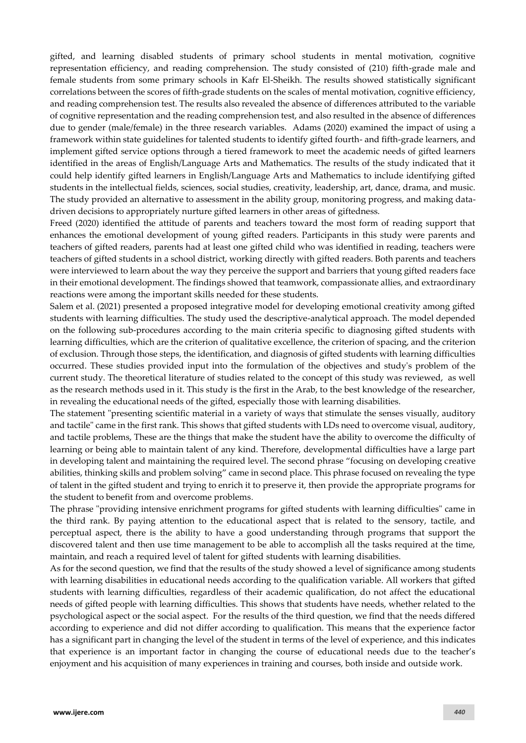gifted, and learning disabled students of primary school students in mental motivation, cognitive representation efficiency, and reading comprehension. The study consisted of (210) fifth-grade male and female students from some primary schools in Kafr El-Sheikh. The results showed statistically significant correlations between the scores of fifth-grade students on the scales of mental motivation, cognitive efficiency, and reading comprehension test. The results also revealed the absence of differences attributed to the variable of cognitive representation and the reading comprehension test, and also resulted in the absence of differences due to gender (male/female) in the three research variables. Adams (2020) examined the impact of using a framework within state guidelines for talented students to identify gifted fourth- and fifth-grade learners, and implement gifted service options through a tiered framework to meet the academic needs of gifted learners identified in the areas of English/Language Arts and Mathematics. The results of the study indicated that it could help identify gifted learners in English/Language Arts and Mathematics to include identifying gifted students in the intellectual fields, sciences, social studies, creativity, leadership, art, dance, drama, and music. The study provided an alternative to assessment in the ability group, monitoring progress, and making datadriven decisions to appropriately nurture gifted learners in other areas of giftedness.

Freed (2020) identified the attitude of parents and teachers toward the most form of reading support that enhances the emotional development of young gifted readers. Participants in this study were parents and teachers of gifted readers, parents had at least one gifted child who was identified in reading, teachers were teachers of gifted students in a school district, working directly with gifted readers. Both parents and teachers were interviewed to learn about the way they perceive the support and barriers that young gifted readers face in their emotional development. The findings showed that teamwork, compassionate allies, and extraordinary reactions were among the important skills needed for these students.

Salem et al. (2021) presented a proposed integrative model for developing emotional creativity among gifted students with learning difficulties. The study used the descriptive-analytical approach. The model depended on the following sub-procedures according to the main criteria specific to diagnosing gifted students with learning difficulties, which are the criterion of qualitative excellence, the criterion of spacing, and the criterion of exclusion. Through those steps, the identification, and diagnosis of gifted students with learning difficulties occurred. These studies provided input into the formulation of the objectives and study's problem of the current study. The theoretical literature of studies related to the concept of this study was reviewed, as well as the research methods used in it. This study is the first in the Arab, to the best knowledge of the researcher, in revealing the educational needs of the gifted, especially those with learning disabilities.

The statement "presenting scientific material in a variety of ways that stimulate the senses visually, auditory and tactile" came in the first rank. This shows that gifted students with LDs need to overcome visual, auditory, and tactile problems, These are the things that make the student have the ability to overcome the difficulty of learning or being able to maintain talent of any kind. Therefore, developmental difficulties have a large part in developing talent and maintaining the required level. The second phrase "focusing on developing creative abilities, thinking skills and problem solving" came in second place. This phrase focused on revealing the type of talent in the gifted student and trying to enrich it to preserve it, then provide the appropriate programs for the student to benefit from and overcome problems.

The phrase "providing intensive enrichment programs for gifted students with learning difficulties" came in the third rank. By paying attention to the educational aspect that is related to the sensory, tactile, and perceptual aspect, there is the ability to have a good understanding through programs that support the discovered talent and then use time management to be able to accomplish all the tasks required at the time, maintain, and reach a required level of talent for gifted students with learning disabilities.

As for the second question, we find that the results of the study showed a level of significance among students with learning disabilities in educational needs according to the qualification variable. All workers that gifted students with learning difficulties, regardless of their academic qualification, do not affect the educational needs of gifted people with learning difficulties. This shows that students have needs, whether related to the psychological aspect or the social aspect. For the results of the third question, we find that the needs differed according to experience and did not differ according to qualification. This means that the experience factor has a significant part in changing the level of the student in terms of the level of experience, and this indicates that experience is an important factor in changing the course of educational needs due to the teacher's enjoyment and his acquisition of many experiences in training and courses, both inside and outside work.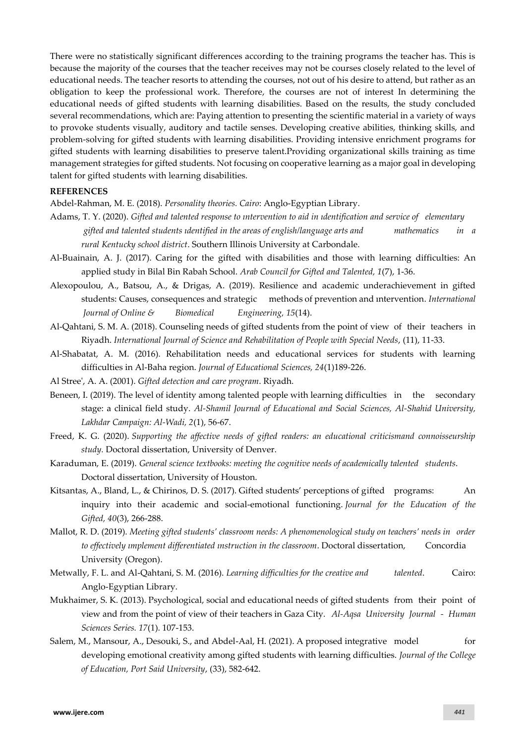There were no statistically significant differences according to the training programs the teacher has. This is because the majority of the courses that the teacher receives may not be courses closely related to the level of educational needs. The teacher resorts to attending the courses, not out of his desire to attend, but rather as an obligation to keep the professional work. Therefore, the courses are not of interest In determining the educational needs of gifted students with learning disabilities. Based on the results, the study concluded several recommendations, which are: Paying attention to presenting the scientific material in a variety of ways to provoke students visually, auditory and tactile senses. Developing creative abilities, thinking skills, and problem-solving for gifted students with learning disabilities. Providing intensive enrichment programs for gifted students with learning disabilities to preserve talent.Providing organizational skills training as time management strategies for gifted students. Not focusing on cooperative learning as a major goal in developing talent for gifted students with learning disabilities.

## **REFERENCES**

Abdel-Rahman, M. E. (2018). *Personality theories. Cairo*: Anglo-Egyptian Library.

- Adams, T. Y. (2020). *Gifted and talented response to ıntervention to aid in ıdentification and service of elementary gifted and talented students ıdentified in the areas of english/language arts and mathematics in a rural Kentucky school district*. Southern Illinois University at Carbondale.
- Al-Buainain, A. J. (2017). Caring for the gifted with disabilities and those with learning difficulties: An applied study in Bilal Bin Rabah School. *Arab Council for Gifted and Talented, 1*(7), 1-36.
- Alexopoulou, A., Batsou, A., & Drigas, A. (2019). Resilience and academic underachievement in gifted students: Causes, consequences and strategic methods of prevention and ıntervention. *International Journal of Online & Biomedical Engineering, 15*(14).
- Al-Qahtani, S. M. A. (2018). Counseling needs of gifted students from the point of view of their teachers in Riyadh. *International Journal of Science and Rehabilitation of People with Special Needs*, (11), 11-33.
- Al-Shabatat, A. M. (2016). Rehabilitation needs and educational services for students with learning difficulties in Al-Baha region. *Journal of Educational Sciences, 24*(1)189-226.
- Al Stree', A. A. (2001). *Gifted detection and care program*. Riyadh.
- Beneen, I. (2019). The level of identity among talented people with learning difficulties in the secondary stage: a clinical field study. *Al-Shamil Journal of Educational and Social Sciences, Al-Shahid University, Lakhdar Campaign: Al-Wadi, 2*(1), 56-67.
- Freed, K. G. (2020). *Supporting the affective needs of gifted readers: an educational criticismand connoisseurship study.* Doctoral dissertation, University of Denver.
- Karaduman, E. (2019). *General science textbooks: meeting the cognitive needs of academically talented students*. Doctoral dissertation, University of Houston.
- Kitsantas, A., Bland, L., & Chirinos, D. S. (2017). Gifted students' perceptions of gifted programs: An inquiry into their academic and social-emotional functioning. *Journal for the Education of the Gifted, 40*(3), 266-288.
- Mallot, R. D. (2019). *Meeting gifted students' classroom needs: A phenomenological study on teachers' needs in order to effectively ımplement differentiated ınstruction in the classroom*. Doctoral dissertation, Concordia University (Oregon).
- Metwally, F. L. and Al-Qahtani, S. M. (2016). *Learning difficulties for the creative and talented*. Cairo: Anglo-Egyptian Library.
- Mukhaimer, S. K. (2013). Psychological, social and educational needs of gifted students from their point of view and from the point of view of their teachers in Gaza City. *Al-Aqsa University Journal - Human Sciences Series. 17*(1). 107-153.
- Salem, M., Mansour, A., Desouki, S., and Abdel-Aal, H. (2021). A proposed integrative model for developing emotional creativity among gifted students with learning difficulties. *Journal of the College of Education, Port Said University*, (33), 582-642.